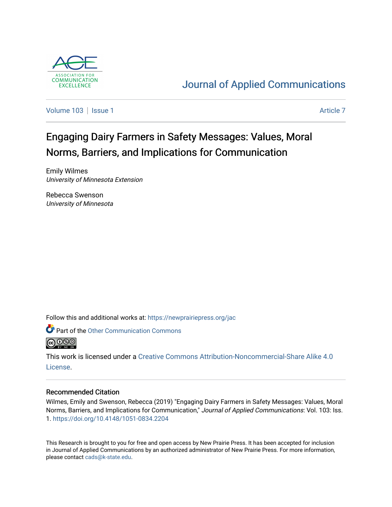

## [Journal of Applied Communications](https://newprairiepress.org/jac)

[Volume 103](https://newprairiepress.org/jac/vol103) | [Issue 1](https://newprairiepress.org/jac/vol103/iss1) [Article 7](https://newprairiepress.org/jac/vol103/iss1/7) Article 7 Article 7

# Engaging Dairy Farmers in Safety Messages: Values, Moral Norms, Barriers, and Implications for Communication

Emily Wilmes University of Minnesota Extension

Rebecca Swenson University of Minnesota

Follow this and additional works at: [https://newprairiepress.org/jac](https://newprairiepress.org/jac?utm_source=newprairiepress.org%2Fjac%2Fvol103%2Fiss1%2F7&utm_medium=PDF&utm_campaign=PDFCoverPages)



This work is licensed under a [Creative Commons Attribution-Noncommercial-Share Alike 4.0](https://creativecommons.org/licenses/by-nc-sa/4.0/) [License.](https://creativecommons.org/licenses/by-nc-sa/4.0/)

## Recommended Citation

Wilmes, Emily and Swenson, Rebecca (2019) "Engaging Dairy Farmers in Safety Messages: Values, Moral Norms, Barriers, and Implications for Communication," Journal of Applied Communications: Vol. 103: Iss. 1. <https://doi.org/10.4148/1051-0834.2204>

This Research is brought to you for free and open access by New Prairie Press. It has been accepted for inclusion in Journal of Applied Communications by an authorized administrator of New Prairie Press. For more information, please contact [cads@k-state.edu.](mailto:cads@k-state.edu)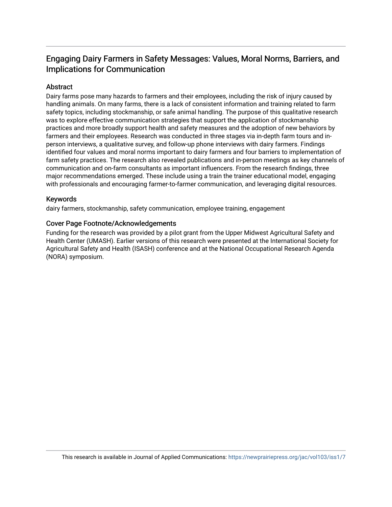## Engaging Dairy Farmers in Safety Messages: Values, Moral Norms, Barriers, and Implications for Communication

## **Abstract**

Dairy farms pose many hazards to farmers and their employees, including the risk of injury caused by handling animals. On many farms, there is a lack of consistent information and training related to farm safety topics, including stockmanship, or safe animal handling. The purpose of this qualitative research was to explore effective communication strategies that support the application of stockmanship practices and more broadly support health and safety measures and the adoption of new behaviors by farmers and their employees. Research was conducted in three stages via in-depth farm tours and inperson interviews, a qualitative survey, and follow-up phone interviews with dairy farmers. Findings identified four values and moral norms important to dairy farmers and four barriers to implementation of farm safety practices. The research also revealed publications and in-person meetings as key channels of communication and on-farm consultants as important influencers. From the research findings, three major recommendations emerged. These include using a train the trainer educational model, engaging with professionals and encouraging farmer-to-farmer communication, and leveraging digital resources.

## Keywords

dairy farmers, stockmanship, safety communication, employee training, engagement

### Cover Page Footnote/Acknowledgements

Funding for the research was provided by a pilot grant from the Upper Midwest Agricultural Safety and Health Center (UMASH). Earlier versions of this research were presented at the International Society for Agricultural Safety and Health (ISASH) conference and at the National Occupational Research Agenda (NORA) symposium.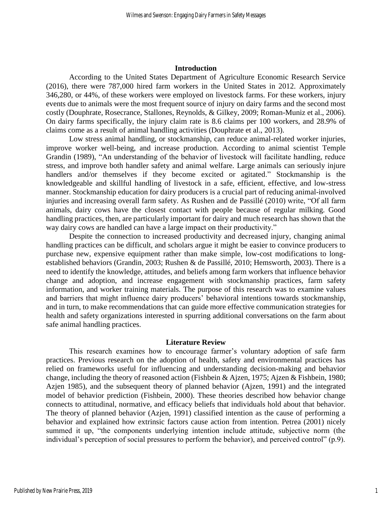#### **Introduction**

According to the United States Department of Agriculture Economic Research Service (2016), there were 787,000 hired farm workers in the United States in 2012. Approximately 346,280, or 44%, of these workers were employed on livestock farms. For these workers, injury events due to animals were the most frequent source of injury on dairy farms and the second most costly (Douphrate, Rosecrance, Stallones, Reynolds, & Gilkey, 2009; Roman-Muniz et al., 2006). On dairy farms specifically, the injury claim rate is 8.6 claims per 100 workers, and 28.9% of claims come as a result of animal handling activities (Douphrate et al., 2013).

Low stress animal handling, or stockmanship, can reduce animal-related worker injuries, improve worker well-being, and increase production. According to animal scientist Temple Grandin (1989), "An understanding of the behavior of livestock will facilitate handling, reduce stress, and improve both handler safety and animal welfare. Large animals can seriously injure handlers and/or themselves if they become excited or agitated." Stockmanship is the knowledgeable and skillful handling of livestock in a safe, efficient, effective, and low-stress manner. Stockmanship education for dairy producers is a crucial part of reducing animal-involved injuries and increasing overall farm safety. As Rushen and de Passillé (2010) write, "Of all farm animals, dairy cows have the closest contact with people because of regular milking. Good handling practices, then, are particularly important for dairy and much research has shown that the way dairy cows are handled can have a large impact on their productivity."

Despite the connection to increased productivity and decreased injury, changing animal handling practices can be difficult, and scholars argue it might be easier to convince producers to purchase new, expensive equipment rather than make simple, low-cost modifications to longestablished behaviors (Grandin, 2003; Rushen & de Passillé, 2010; Hemsworth, 2003). There is a need to identify the knowledge, attitudes, and beliefs among farm workers that influence behavior change and adoption, and increase engagement with stockmanship practices, farm safety information, and worker training materials. The purpose of this research was to examine values and barriers that might influence dairy producers' behavioral intentions towards stockmanship, and in turn, to make recommendations that can guide more effective communication strategies for health and safety organizations interested in spurring additional conversations on the farm about safe animal handling practices.

#### **Literature Review**

This research examines how to encourage farmer's voluntary adoption of safe farm practices. Previous research on the adoption of health, safety and environmental practices has relied on frameworks useful for influencing and understanding decision-making and behavior change, including the theory of reasoned action (Fishbein & Ajzen, 1975; Ajzen & Fishbein, 1980; Azjen 1985), and the subsequent theory of planned behavior (Ajzen, 1991) and the integrated model of behavior prediction (Fishbein, 2000). These theories described how behavior change connects to attitudinal, normative, and efficacy beliefs that individuals hold about that behavior. The theory of planned behavior (Azjen, 1991) classified intention as the cause of performing a behavior and explained how extrinsic factors cause action from intention. Petrea (2001) nicely summed it up, "the components underlying intention include attitude, subjective norm (the individual's perception of social pressures to perform the behavior), and perceived control" (p.9).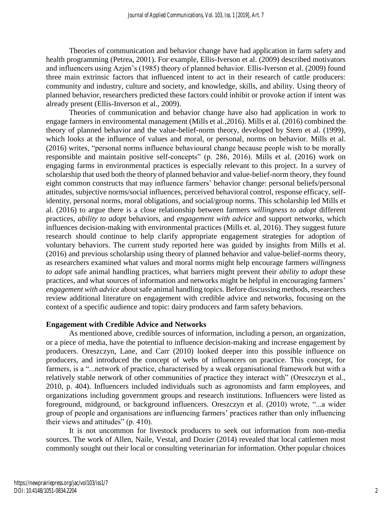Theories of communication and behavior change have had application in farm safety and health programming (Petrea, 2001). For example, Ellis-Iverson et al. (2009) described motivators and influencers using Azjen's (1985) theory of planned behavior. Ellis-Iverson et al. (2009) found three main extrinsic factors that influenced intent to act in their research of cattle producers: community and industry, culture and society, and knowledge, skills, and ability. Using theory of planned behavior, researchers predicted these factors could inhibit or provoke action if intent was already present (Ellis-Inverson et al., 2009).

Theories of communication and behavior change have also had application in work to engage farmers in environmental management (Mills et al.,2016). Mills et al. (2016) combined the theory of planned behavior and the value-belief-norm theory, developed by Stern et al. (1999), which looks at the influence of values and moral, or personal, norms on behavior. Mills et al. (2016) writes, "personal norms influence behavioural change because people wish to be morally responsible and maintain positive self-concepts" (p. 286, 2016). Mills et al. (2016) work on engaging farms in environmental practices is especially relevant to this project. In a survey of scholarship that used both the theory of planned behavior and value-belief-norm theory, they found eight common constructs that may influence farmers' behavior change: personal beliefs/personal attitudes, subjective norms/social influences, perceived behavioral control, response efficacy, selfidentity, personal norms, moral obligations, and social/group norms. This scholarship led Mills et al. (2016) to argue there is a close relationship between farmers *willingness to adopt* different practices, *ability to adopt* behaviors, and *engagement with advice* and support networks, which influences decision-making with environmental practices (Mills et. al, 2016). They suggest future research should continue to help clarify appropriate engagement strategies for adoption of voluntary behaviors. The current study reported here was guided by insights from Mills et al. (2016) and previous scholarship using theory of planned behavior and value-belief-norms theory, as researchers examined what values and moral norms might help encourage farmers *willingness to adopt* safe animal handling practices, what barriers might prevent their *ability to adopt* these practices, and what sources of information and networks might be helpful in encouraging farmers' *engagement with advice* about safe animal handling topics. Before discussing methods, researchers review additional literature on engagement with credible advice and networks, focusing on the context of a specific audience and topic: dairy producers and farm safety behaviors.

#### **Engagement with Credible Advice and Networks**

As mentioned above, credible sources of information, including a person, an organization, or a piece of media, have the potential to influence decision-making and increase engagement by producers. Oreszczyn, Lane, and Carr (2010) looked deeper into this possible influence on producers, and introduced the concept of webs of influencers on practice. This concept, for farmers, is a "...network of practice, characterised by a weak organisational framework but with a relatively stable network of other communities of practice they interact with" (Oreszczyn et al., 2010, p. 404). Influencers included individuals such as agronomists and farm employees, and organizations including government groups and research institutions. Influencers were listed as foreground, midground, or background influencers. Oreszczyn et al. (2010) wrote, "...a wider group of people and organisations are influencing farmers' practices rather than only influencing their views and attitudes" (p. 410).

It is not uncommon for livestock producers to seek out information from non-media sources. The work of Allen, Naile, Vestal, and Dozier (2014) revealed that local cattlemen most commonly sought out their local or consulting veterinarian for information. Other popular choices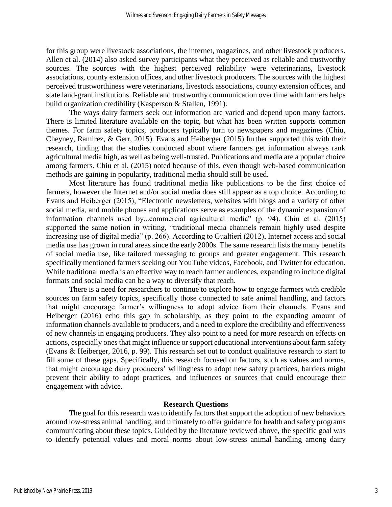for this group were livestock associations, the internet, magazines, and other livestock producers. Allen et al. (2014) also asked survey participants what they perceived as reliable and trustworthy sources. The sources with the highest perceived reliability were veterinarians, livestock associations, county extension offices, and other livestock producers. The sources with the highest perceived trustworthiness were veterinarians, livestock associations, county extension offices, and state land-grant institutions. Reliable and trustworthy communication over time with farmers helps build organization credibility (Kasperson & Stallen, 1991).

The ways dairy farmers seek out information are varied and depend upon many factors. There is limited literature available on the topic, but what has been written supports common themes. For farm safety topics, producers typically turn to newspapers and magazines (Chiu, Cheyney, Ramirez, & Gerr, 2015). Evans and Heiberger (2015) further supported this with their research, finding that the studies conducted about where farmers get information always rank agricultural media high, as well as being well-trusted. Publications and media are a popular choice among farmers. Chiu et al. (2015) noted because of this, even though web-based communication methods are gaining in popularity, traditional media should still be used.

Most literature has found traditional media like publications to be the first choice of farmers, however the Internet and/or social media does still appear as a top choice. According to Evans and Heiberger (2015), "Electronic newsletters, websites with blogs and a variety of other social media, and mobile phones and applications serve as examples of the dynamic expansion of information channels used by...commercial agricultural media" (p. 94). Chiu et al. (2015) supported the same notion in writing, "traditional media channels remain highly used despite increasing use of digital media" (p. 266). According to Gualtieri (2012), Internet access and social media use has grown in rural areas since the early 2000s. The same research lists the many benefits of social media use, like tailored messaging to groups and greater engagement. This research specifically mentioned farmers seeking out YouTube videos, Facebook, and Twitter for education. While traditional media is an effective way to reach farmer audiences, expanding to include digital formats and social media can be a way to diversify that reach.

There is a need for researchers to continue to explore how to engage farmers with credible sources on farm safety topics, specifically those connected to safe animal handling, and factors that might encourage farmer's willingness to adopt advice from their channels. Evans and Heiberger (2016) echo this gap in scholarship, as they point to the expanding amount of information channels available to producers, and a need to explore the credibility and effectiveness of new channels in engaging producers. They also point to a need for more research on effects on actions, especially ones that might influence or support educational interventions about farm safety (Evans & Heiberger, 2016, p. 99). This research set out to conduct qualitative research to start to fill some of these gaps. Specifically, this research focused on factors, such as values and norms, that might encourage dairy producers' willingness to adopt new safety practices, barriers might prevent their ability to adopt practices, and influences or sources that could encourage their engagement with advice.

#### **Research Questions**

The goal for this research was to identify factors that support the adoption of new behaviors around low-stress animal handling, and ultimately to offer guidance for health and safety programs communicating about these topics. Guided by the literature reviewed above, the specific goal was to identify potential values and moral norms about low-stress animal handling among dairy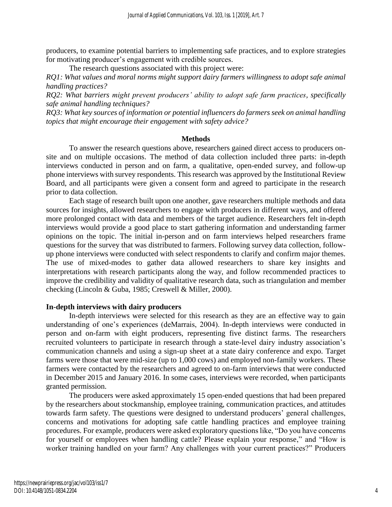producers, to examine potential barriers to implementing safe practices, and to explore strategies for motivating producer's engagement with credible sources.

The research questions associated with this project were:

*RQ1: What values and moral norms might support dairy farmers willingness to adopt safe animal handling practices?* 

*RQ2: What barriers might prevent producers' ability to adopt safe farm practices, specifically safe animal handling techniques?*

*RQ3: What key sources of information or potential influencers do farmers seek on animal handling topics that might encourage their engagement with safety advice?*

#### **Methods**

To answer the research questions above, researchers gained direct access to producers onsite and on multiple occasions. The method of data collection included three parts: in-depth interviews conducted in person and on farm, a qualitative, open-ended survey, and follow-up phone interviews with survey respondents. This research was approved by the Institutional Review Board, and all participants were given a consent form and agreed to participate in the research prior to data collection.

Each stage of research built upon one another, gave researchers multiple methods and data sources for insights, allowed researchers to engage with producers in different ways, and offered more prolonged contact with data and members of the target audience. Researchers felt in-depth interviews would provide a good place to start gathering information and understanding farmer opinions on the topic. The initial in-person and on farm interviews helped researchers frame questions for the survey that was distributed to farmers. Following survey data collection, followup phone interviews were conducted with select respondents to clarify and confirm major themes. The use of mixed-modes to gather data allowed researchers to share key insights and interpretations with research participants along the way, and follow recommended practices to improve the credibility and validity of qualitative research data, such as triangulation and member checking (Lincoln & Guba, 1985; Creswell & Miller, 2000).

#### **In-depth interviews with dairy producers**

In-depth interviews were selected for this research as they are an effective way to gain understanding of one's experiences (deMarrais, 2004). In-depth interviews were conducted in person and on-farm with eight producers, representing five distinct farms. The researchers recruited volunteers to participate in research through a state-level dairy industry association's communication channels and using a sign-up sheet at a state dairy conference and expo. Target farms were those that were mid-size (up to 1,000 cows) and employed non-family workers. These farmers were contacted by the researchers and agreed to on-farm interviews that were conducted in December 2015 and January 2016. In some cases, interviews were recorded, when participants granted permission.

The producers were asked approximately 15 open-ended questions that had been prepared by the researchers about stockmanship, employee training, communication practices, and attitudes towards farm safety. The questions were designed to understand producers' general challenges, concerns and motivations for adopting safe cattle handling practices and employee training procedures. For example, producers were asked exploratory questions like, "Do you have concerns for yourself or employees when handling cattle? Please explain your response," and "How is worker training handled on your farm? Any challenges with your current practices?" Producers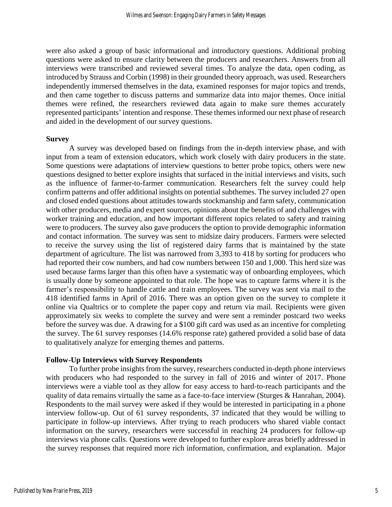were also asked a group of basic informational and introductory questions. Additional probing questions were asked to ensure clarity between the producers and researchers. Answers from all interviews were transcribed and reviewed several times. To analyze the data, open coding, as introduced by Strauss and Corbin (1998) in their grounded theory approach, was used. Researchers independently immersed themselves in the data, examined responses for major topics and trends, and then came together to discuss patterns and summarize data into major themes. Once initial themes were refined, the researchers reviewed data again to make sure themes accurately represented participants' intention and response. These themes informed our next phase of research and aided in the development of our survey questions.

#### **Survey**

A survey was developed based on findings from the in-depth interview phase, and with input from a team of extension educators, which work closely with dairy producers in the state. Some questions were adaptations of interview questions to better probe topics, others were new questions designed to better explore insights that surfaced in the initial interviews and visits, such as the influence of farmer-to-farmer communication. Researchers felt the survey could help confirm patterns and offer additional insights on potential subthemes. The survey included 27 open and closed ended questions about attitudes towards stockmanship and farm safety, communication with other producers, media and expert sources, opinions about the benefits of and challenges with worker training and education, and how important different topics related to safety and training were to producers. The survey also gave producers the option to provide demographic information and contact information. The survey was sent to midsize dairy producers. Farmers were selected to receive the survey using the list of registered dairy farms that is maintained by the state department of agriculture. The list was narrowed from 3,393 to 418 by sorting for producers who had reported their cow numbers, and had cow numbers between 150 and 1,000. This herd size was used because farms larger than this often have a systematic way of onboarding employees, which is usually done by someone appointed to that role. The hope was to capture farms where it is the farmer's responsibility to handle cattle and train employees. The survey was sent via mail to the 418 identified farms in April of 2016. There was an option given on the survey to complete it online via Qualtrics or to complete the paper copy and return via mail. Recipients were given approximately six weeks to complete the survey and were sent a reminder postcard two weeks before the survey was due. A drawing for a \$100 gift card was used as an incentive for completing the survey. The 61 survey responses (14.6% response rate) gathered provided a solid base of data to qualitatively analyze for emerging themes and patterns.

#### **Follow-Up Interviews with Survey Respondents**

To further probe insights from the survey, researchers conducted in-depth phone interviews with producers who had responded to the survey in fall of 2016 and winter of 2017. Phone interviews were a viable tool as they allow for easy access to hard-to-reach participants and the quality of data remains virtually the same as a face-to-face interview (Sturges & Hanrahan, 2004). Respondents to the mail survey were asked if they would be interested in participating in a phone interview follow-up. Out of 61 survey respondents, 37 indicated that they would be willing to participate in follow-up interviews. After trying to reach producers who shared viable contact information on the survey, researchers were successful in reaching 24 producers for follow-up interviews via phone calls. Questions were developed to further explore areas briefly addressed in the survey responses that required more rich information, confirmation, and explanation. Major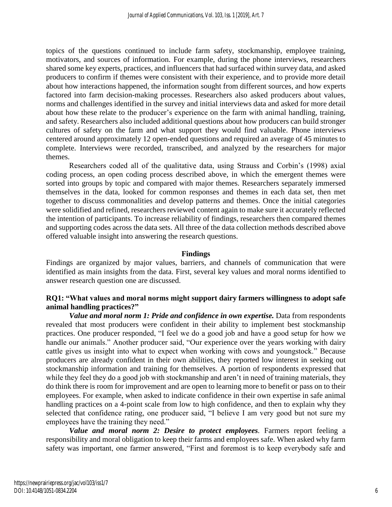topics of the questions continued to include farm safety, stockmanship, employee training, motivators, and sources of information. For example, during the phone interviews, researchers shared some key experts, practices, and influencers that had surfaced within survey data, and asked producers to confirm if themes were consistent with their experience, and to provide more detail about how interactions happened, the information sought from different sources, and how experts factored into farm decision-making processes. Researchers also asked producers about values, norms and challenges identified in the survey and initial interviews data and asked for more detail about how these relate to the producer's experience on the farm with animal handling, training, and safety. Researchers also included additional questions about how producers can build stronger cultures of safety on the farm and what support they would find valuable. Phone interviews centered around approximately 12 open-ended questions and required an average of 45 minutes to complete. Interviews were recorded, transcribed, and analyzed by the researchers for major themes.

Researchers coded all of the qualitative data, using Strauss and Corbin's (1998) axial coding process, an open coding process described above, in which the emergent themes were sorted into groups by topic and compared with major themes. Researchers separately immersed themselves in the data, looked for common responses and themes in each data set, then met together to discuss commonalities and develop patterns and themes. Once the initial categories were solidified and refined, researchers reviewed content again to make sure it accurately reflected the intention of participants. To increase reliability of findings, researchers then compared themes and supporting codes across the data sets. All three of the data collection methods described above offered valuable insight into answering the research questions.

## **Findings**

Findings are organized by major values, barriers, and channels of communication that were identified as main insights from the data. First, several key values and moral norms identified to answer research question one are discussed.

## **RQ1: "What values and moral norms might support dairy farmers willingness to adopt safe animal handling practices?"**

*Value and moral norm 1: Pride and confidence in own expertise.* Data from respondents revealed that most producers were confident in their ability to implement best stockmanship practices. One producer responded, "I feel we do a good job and have a good setup for how we handle our animals." Another producer said, "Our experience over the years working with dairy cattle gives us insight into what to expect when working with cows and youngstock." Because producers are already confident in their own abilities, they reported low interest in seeking out stockmanship information and training for themselves. A portion of respondents expressed that while they feel they do a good job with stockmanship and aren't in need of training materials, they do think there is room for improvement and are open to learning more to benefit or pass on to their employees. For example, when asked to indicate confidence in their own expertise in safe animal handling practices on a 4-point scale from low to high confidence, and then to explain why they selected that confidence rating, one producer said, "I believe I am very good but not sure my employees have the training they need."

Value and moral norm 2: Desire to protect employees. Farmers report feeling a responsibility and moral obligation to keep their farms and employees safe. When asked why farm safety was important, one farmer answered, "First and foremost is to keep everybody safe and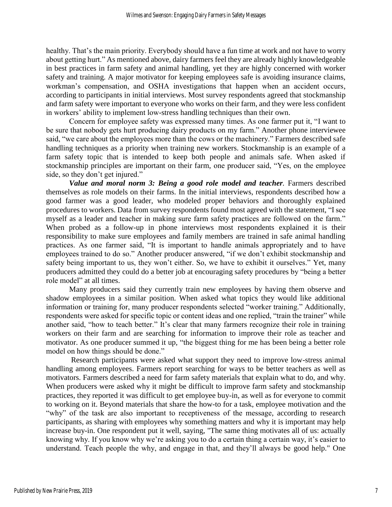healthy. That's the main priority. Everybody should have a fun time at work and not have to worry about getting hurt." As mentioned above, dairy farmers feel they are already highly knowledgeable in best practices in farm safety and animal handling, yet they are highly concerned with worker safety and training. A major motivator for keeping employees safe is avoiding insurance claims, workman's compensation, and OSHA investigations that happen when an accident occurs, according to participants in initial interviews. Most survey respondents agreed that stockmanship and farm safety were important to everyone who works on their farm, and they were less confident in workers' ability to implement low-stress handling techniques than their own.

Concern for employee safety was expressed many times. As one farmer put it, "I want to be sure that nobody gets hurt producing dairy products on my farm." Another phone interviewee said, "we care about the employees more than the cows or the machinery." Farmers described safe handling techniques as a priority when training new workers. Stockmanship is an example of a farm safety topic that is intended to keep both people and animals safe. When asked if stockmanship principles are important on their farm, one producer said, "Yes, on the employee side, so they don't get injured."

*Value and moral norm 3: Being a good role model and teacher.* Farmers described themselves as role models on their farms. In the initial interviews, respondents described how a good farmer was a good leader, who modeled proper behaviors and thoroughly explained procedures to workers. Data from survey respondents found most agreed with the statement, "I see myself as a leader and teacher in making sure farm safety practices are followed on the farm." When probed as a follow-up in phone interviews most respondents explained it is their responsibility to make sure employees and family members are trained in safe animal handling practices. As one farmer said, "It is important to handle animals appropriately and to have employees trained to do so." Another producer answered, "if we don't exhibit stockmanship and safety being important to us, they won't either. So, we have to exhibit it ourselves." Yet, many producers admitted they could do a better job at encouraging safety procedures by "being a better role model" at all times.

Many producers said they currently train new employees by having them observe and shadow employees in a similar position. When asked what topics they would like additional information or training for, many producer respondents selected "worker training." Additionally, respondents were asked for specific topic or content ideas and one replied, "train the trainer" while another said, "how to teach better." It's clear that many farmers recognize their role in training workers on their farm and are searching for information to improve their role as teacher and motivator. As one producer summed it up, "the biggest thing for me has been being a better role model on how things should be done."

Research participants were asked what support they need to improve low-stress animal handling among employees. Farmers report searching for ways to be better teachers as well as motivators. Farmers described a need for farm safety materials that explain what to do, and why. When producers were asked why it might be difficult to improve farm safety and stockmanship practices, they reported it was difficult to get employee buy-in, as well as for everyone to commit to working on it. Beyond materials that share the how-to for a task, employee motivation and the "why" of the task are also important to receptiveness of the message, according to research participants, as sharing with employees why something matters and why it is important may help increase buy-in. One respondent put it well, saying, "The same thing motivates all of us: actually knowing why. If you know why we're asking you to do a certain thing a certain way, it's easier to understand. Teach people the why, and engage in that, and they'll always be good help." One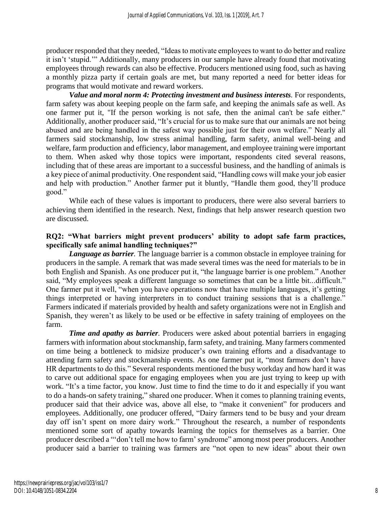producer responded that they needed, "Ideas to motivate employees to want to do better and realize it isn't 'stupid.'" Additionally, many producers in our sample have already found that motivating employees through rewards can also be effective. Producers mentioned using food, such as having a monthly pizza party if certain goals are met, but many reported a need for better ideas for programs that would motivate and reward workers.

*Value and moral norm 4: Protecting investment and business interests.* For respondents, farm safety was about keeping people on the farm safe, and keeping the animals safe as well. As one farmer put it, "If the person working is not safe, then the animal can't be safe either." Additionally, another producer said, "It's crucial for us to make sure that our animals are not being abused and are being handled in the safest way possible just for their own welfare." Nearly all farmers said stockmanship, low stress animal handling, farm safety, animal well-being and welfare, farm production and efficiency, labor management, and employee training were important to them. When asked why those topics were important, respondents cited several reasons, including that of these areas are important to a successful business, and the handling of animals is a key piece of animal productivity. One respondent said, "Handling cows will make your job easier and help with production." Another farmer put it bluntly, "Handle them good, they'll produce good."

While each of these values is important to producers, there were also several barriers to achieving them identified in the research. Next, findings that help answer research question two are discussed.

## **RQ2: "What barriers might prevent producers' ability to adopt safe farm practices, specifically safe animal handling techniques?"**

*Language as barrier*. The language barrier is a common obstacle in employee training for producers in the sample. A remark that was made several times was the need for materials to be in both English and Spanish. As one producer put it, "the language barrier is one problem." Another said, "My employees speak a different language so sometimes that can be a little bit...difficult." One farmer put it well, "when you have operations now that have multiple languages, it's getting things interpreted or having interpreters in to conduct training sessions that is a challenge." Farmers indicated if materials provided by health and safety organizations were not in English and Spanish, they weren't as likely to be used or be effective in safety training of employees on the farm.

*Time and apathy as barrier*. Producers were asked about potential barriers in engaging farmers with information about stockmanship, farm safety, and training. Many farmers commented on time being a bottleneck to midsize producer's own training efforts and a disadvantage to attending farm safety and stockmanship events. As one farmer put it, "most farmers don't have HR departments to do this." Several respondents mentioned the busy workday and how hard it was to carve out additional space for engaging employees when you are just trying to keep up with work. "It's a time factor, you know. Just time to find the time to do it and especially if you want to do a hands-on safety training," shared one producer. When it comes to planning training events, producer said that their advice was, above all else, to "make it convenient" for producers and employees. Additionally, one producer offered, "Dairy farmers tend to be busy and your dream day off isn't spent on more dairy work." Throughout the research, a number of respondents mentioned some sort of apathy towards learning the topics for themselves as a barrier. One producer described a "'don't tell me how to farm' syndrome" among most peer producers. Another producer said a barrier to training was farmers are "not open to new ideas" about their own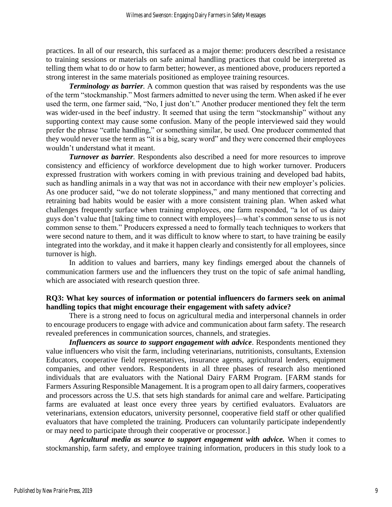practices. In all of our research, this surfaced as a major theme: producers described a resistance to training sessions or materials on safe animal handling practices that could be interpreted as telling them what to do or how to farm better; however, as mentioned above, producers reported a strong interest in the same materials positioned as employee training resources.

*Terminology as barrier.* A common question that was raised by respondents was the use of the term "stockmanship." Most farmers admitted to never using the term. When asked if he ever used the term, one farmer said, "No, I just don't." Another producer mentioned they felt the term was wider-used in the beef industry. It seemed that using the term "stockmanship" without any supporting context may cause some confusion. Many of the people interviewed said they would prefer the phrase "cattle handling," or something similar, be used. One producer commented that they would never use the term as "it is a big, scary word" and they were concerned their employees wouldn't understand what it meant.

*Turnover as barrier*. Respondents also described a need for more resources to improve consistency and efficiency of workforce development due to high worker turnover. Producers expressed frustration with workers coming in with previous training and developed bad habits, such as handling animals in a way that was not in accordance with their new employer's policies. As one producer said, "we do not tolerate sloppiness," and many mentioned that correcting and retraining bad habits would be easier with a more consistent training plan. When asked what challenges frequently surface when training employees, one farm responded, "a lot of us dairy guys don't value that [taking time to connect with employees]—what's common sense to us is not common sense to them." Producers expressed a need to formally teach techniques to workers that were second nature to them, and it was difficult to know where to start, to have training be easily integrated into the workday, and it make it happen clearly and consistently for all employees, since turnover is high.

In addition to values and barriers, many key findings emerged about the channels of communication farmers use and the influencers they trust on the topic of safe animal handling, which are associated with research question three.

## **RQ3: What key sources of information or potential influencers do farmers seek on animal handling topics that might encourage their engagement with safety advice?**

There is a strong need to focus on agricultural media and interpersonal channels in order to encourage producers to engage with advice and communication about farm safety. The research revealed preferences in communication sources, channels, and strategies.

*Influencers as source to support engagement with advice*. Respondents mentioned they value influencers who visit the farm, including veterinarians, nutritionists, consultants, Extension Educators, cooperative field representatives, insurance agents, agricultural lenders, equipment companies, and other vendors. Respondents in all three phases of research also mentioned individuals that are evaluators with the National Dairy FARM Program. [FARM stands for Farmers Assuring Responsible Management. It is a program open to all dairy farmers, cooperatives and processors across the U.S. that sets high standards for animal care and welfare. Participating farms are evaluated at least once every three years by certified evaluators. Evaluators are veterinarians, extension educators, university personnel, cooperative field staff or other qualified evaluators that have completed the training. Producers can voluntarily participate independently or may need to participate through their cooperative or processor.]

*Agricultural media as source to support engagement with advice.* When it comes to stockmanship, farm safety, and employee training information, producers in this study look to a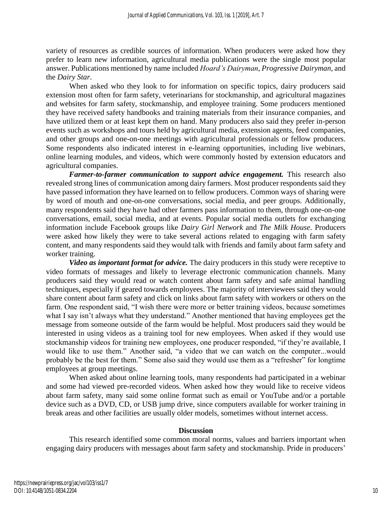variety of resources as credible sources of information. When producers were asked how they prefer to learn new information, agricultural media publications were the single most popular answer. Publications mentioned by name included *Hoard's Dairyman*, *Progressive Dairyman*, and the *Dairy Star*.

When asked who they look to for information on specific topics, dairy producers said extension most often for farm safety, veterinarians for stockmanship, and agricultural magazines and websites for farm safety, stockmanship, and employee training. Some producers mentioned they have received safety handbooks and training materials from their insurance companies, and have utilized them or at least kept them on hand. Many producers also said they prefer in-person events such as workshops and tours held by agricultural media, extension agents, feed companies, and other groups and one-on-one meetings with agricultural professionals or fellow producers. Some respondents also indicated interest in e-learning opportunities, including live webinars, online learning modules, and videos, which were commonly hosted by extension educators and agricultural companies.

*Farmer-to-farmer communication to support advice engagement.* This research also revealed strong lines of communication among dairy farmers. Most producer respondents said they have passed information they have learned on to fellow producers. Common ways of sharing were by word of mouth and one-on-one conversations, social media, and peer groups. Additionally, many respondents said they have had other farmers pass information to them, through one-on-one conversations, email, social media, and at events. Popular social media outlets for exchanging information include Facebook groups like *Dairy Girl Network* and *The Milk House*. Producers were asked how likely they were to take several actions related to engaging with farm safety content, and many respondents said they would talk with friends and family about farm safety and worker training.

*Video as important format for advice.* The dairy producers in this study were receptive to video formats of messages and likely to leverage electronic communication channels. Many producers said they would read or watch content about farm safety and safe animal handling techniques, especially if geared towards employees. The majority of interviewees said they would share content about farm safety and click on links about farm safety with workers or others on the farm. One respondent said, "I wish there were more or better training videos, because sometimes what I say isn't always what they understand." Another mentioned that having employees get the message from someone outside of the farm would be helpful. Most producers said they would be interested in using videos as a training tool for new employees. When asked if they would use stockmanship videos for training new employees, one producer responded, "if they're available, I would like to use them." Another said, "a video that we can watch on the computer...would probably be the best for them." Some also said they would use them as a "refresher" for longtime employees at group meetings.

When asked about online learning tools, many respondents had participated in a webinar and some had viewed pre-recorded videos. When asked how they would like to receive videos about farm safety, many said some online format such as email or YouTube and/or a portable device such as a DVD, CD, or USB jump drive, since computers available for worker training in break areas and other facilities are usually older models, sometimes without internet access.

#### **Discussion**

This research identified some common moral norms, values and barriers important when engaging dairy producers with messages about farm safety and stockmanship. Pride in producers'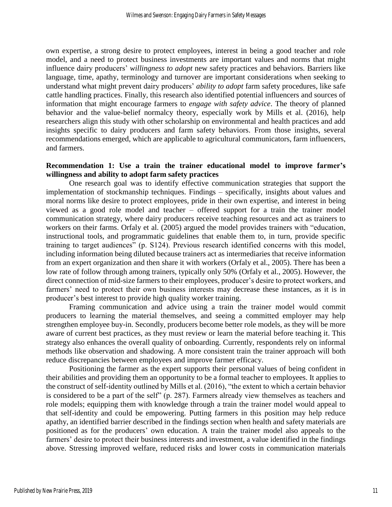own expertise, a strong desire to protect employees, interest in being a good teacher and role model, and a need to protect business investments are important values and norms that might influence dairy producers' *willingness to adopt* new safety practices and behaviors. Barriers like language, time, apathy, terminology and turnover are important considerations when seeking to understand what might prevent dairy producers' *ability to adopt* farm safety procedures, like safe cattle handling practices. Finally, this research also identified potential influencers and sources of information that might encourage farmers to *engage with safety advice*. The theory of planned behavior and the value-belief normalcy theory, especially work by Mills et al. (2016), help researchers align this study with other scholarship on environmental and health practices and add insights specific to dairy producers and farm safety behaviors. From those insights, several recommendations emerged, which are applicable to agricultural communicators, farm influencers, and farmers.

## **Recommendation 1: Use a train the trainer educational model to improve farmer's willingness and ability to adopt farm safety practices**

One research goal was to identify effective communication strategies that support the implementation of stockmanship techniques. Findings – specifically, insights about values and moral norms like desire to protect employees, pride in their own expertise, and interest in being viewed as a good role model and teacher – offered support for a train the trainer model communication strategy, where dairy producers receive teaching resources and act as trainers to workers on their farms. Orfaly et al. (2005) argued the model provides trainers with "education, instructional tools, and programmatic guidelines that enable them to, in turn, provide specific training to target audiences" (p. S124). Previous research identified concerns with this model, including information being diluted because trainers act as intermediaries that receive information from an expert organization and then share it with workers (Orfaly et al., 2005). There has been a low rate of follow through among trainers, typically only 50% (Orfaly et al., 2005). However, the direct connection of mid-size farmers to their employees, producer's desire to protect workers, and farmers' need to protect their own business interests may decrease these instances, as it is in producer's best interest to provide high quality worker training.

Framing communication and advice using a train the trainer model would commit producers to learning the material themselves, and seeing a committed employer may help strengthen employee buy-in. Secondly, producers become better role models, as they will be more aware of current best practices, as they must review or learn the material before teaching it. This strategy also enhances the overall quality of onboarding. Currently, respondents rely on informal methods like observation and shadowing. A more consistent train the trainer approach will both reduce discrepancies between employees and improve farmer efficacy.

Positioning the farmer as the expert supports their personal values of being confident in their abilities and providing them an opportunity to be a formal teacher to employees. It applies to the construct of self-identity outlined by Mills et al. (2016), "the extent to which a certain behavior is considered to be a part of the self" (p. 287). Farmers already view themselves as teachers and role models; equipping them with knowledge through a train the trainer model would appeal to that self-identity and could be empowering. Putting farmers in this position may help reduce apathy, an identified barrier described in the findings section when health and safety materials are positioned as for the producers' own education. A train the trainer model also appeals to the farmers' desire to protect their business interests and investment, a value identified in the findings above. Stressing improved welfare, reduced risks and lower costs in communication materials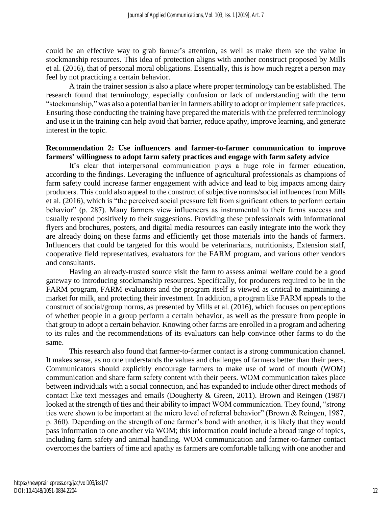could be an effective way to grab farmer's attention, as well as make them see the value in stockmanship resources. This idea of protection aligns with another construct proposed by Mills et al. (2016), that of personal moral obligations. Essentially, this is how much regret a person may feel by not practicing a certain behavior.

A train the trainer session is also a place where proper terminology can be established. The research found that terminology, especially confusion or lack of understanding with the term "stockmanship," was also a potential barrier in farmers ability to adopt or implement safe practices. Ensuring those conducting the training have prepared the materials with the preferred terminology and use it in the training can help avoid that barrier, reduce apathy, improve learning, and generate interest in the topic.

### **Recommendation 2: Use influencers and farmer-to-farmer communication to improve farmers' willingness to adopt farm safety practices and engage with farm safety advice**

It's clear that interpersonal communication plays a huge role in farmer education, according to the findings. Leveraging the influence of agricultural professionals as champions of farm safety could increase farmer engagement with advice and lead to big impacts among dairy producers. This could also appeal to the construct of subjective norms/social influences from Mills et al. (2016), which is "the perceived social pressure felt from significant others to perform certain behavior" (p. 287). Many farmers view influencers as instrumental to their farms success and usually respond positively to their suggestions. Providing these professionals with informational flyers and brochures, posters, and digital media resources can easily integrate into the work they are already doing on these farms and efficiently get those materials into the hands of farmers. Influencers that could be targeted for this would be veterinarians, nutritionists, Extension staff, cooperative field representatives, evaluators for the FARM program, and various other vendors and consultants.

Having an already-trusted source visit the farm to assess animal welfare could be a good gateway to introducing stockmanship resources. Specifically, for producers required to be in the FARM program, FARM evaluators and the program itself is viewed as critical to maintaining a market for milk, and protecting their investment. In addition, a program like FARM appeals to the construct of social/group norms, as presented by Mills et al. (2016), which focuses on perceptions of whether people in a group perform a certain behavior, as well as the pressure from people in that group to adopt a certain behavior. Knowing other farms are enrolled in a program and adhering to its rules and the recommendations of its evaluators can help convince other farms to do the same.

This research also found that farmer-to-farmer contact is a strong communication channel. It makes sense, as no one understands the values and challenges of farmers better than their peers. Communicators should explicitly encourage farmers to make use of word of mouth (WOM) communication and share farm safety content with their peers. WOM communication takes place between individuals with a social connection, and has expanded to include other direct methods of contact like text messages and emails (Dougherty & Green, 2011). Brown and Reingen (1987) looked at the strength of ties and their ability to impact WOM communication. They found, "strong ties were shown to be important at the micro level of referral behavior" (Brown & Reingen, 1987, p. 360). Depending on the strength of one farmer's bond with another, it is likely that they would pass information to one another via WOM; this information could include a broad range of topics, including farm safety and animal handling. WOM communication and farmer-to-farmer contact overcomes the barriers of time and apathy as farmers are comfortable talking with one another and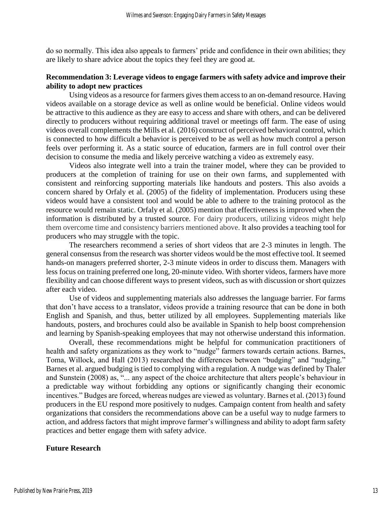do so normally. This idea also appeals to farmers' pride and confidence in their own abilities; they are likely to share advice about the topics they feel they are good at.

## **Recommendation 3: Leverage videos to engage farmers with safety advice and improve their ability to adopt new practices**

Using videos as a resource for farmers gives them access to an on-demand resource. Having videos available on a storage device as well as online would be beneficial. Online videos would be attractive to this audience as they are easy to access and share with others, and can be delivered directly to producers without requiring additional travel or meetings off farm. The ease of using videos overall complements the Mills et al. (2016) construct of perceived behavioral control, which is connected to how difficult a behavior is perceived to be as well as how much control a person feels over performing it. As a static source of education, farmers are in full control over their decision to consume the media and likely perceive watching a video as extremely easy.

Videos also integrate well into a train the trainer model, where they can be provided to producers at the completion of training for use on their own farms, and supplemented with consistent and reinforcing supporting materials like handouts and posters. This also avoids a concern shared by Orfaly et al. (2005) of the fidelity of implementation. Producers using these videos would have a consistent tool and would be able to adhere to the training protocol as the resource would remain static. Orfaly et al. (2005) mention that effectiveness is improved when the information is distributed by a trusted source. For dairy producers, utilizing videos might help them overcome time and consistency barriers mentioned above. It also provides a teaching tool for producers who may struggle with the topic.

The researchers recommend a series of short videos that are 2-3 minutes in length. The general consensus from the research was shorter videos would be the most effective tool. It seemed hands-on managers preferred shorter, 2-3 minute videos in order to discuss them. Managers with less focus on training preferred one long, 20-minute video. With shorter videos, farmers have more flexibility and can choose different ways to present videos, such as with discussion or short quizzes after each video.

Use of videos and supplementing materials also addresses the language barrier. For farms that don't have access to a translator, videos provide a training resource that can be done in both English and Spanish, and thus, better utilized by all employees. Supplementing materials like handouts, posters, and brochures could also be available in Spanish to help boost comprehension and learning by Spanish-speaking employees that may not otherwise understand this information.

Overall, these recommendations might be helpful for communication practitioners of health and safety organizations as they work to "nudge" farmers towards certain actions. Barnes, Toma, Willock, and Hall (2013) researched the differences between "budging" and "nudging." Barnes et al. argued budging is tied to complying with a regulation. A nudge was defined by Thaler and Sunstein (2008) as, "... any aspect of the choice architecture that alters people's behaviour in a predictable way without forbidding any options or significantly changing their economic incentives." Budges are forced, whereas nudges are viewed as voluntary. Barnes et al. (2013) found producers in the EU respond more positively to nudges. Campaign content from health and safety organizations that considers the recommendations above can be a useful way to nudge farmers to action, and address factors that might improve farmer's willingness and ability to adopt farm safety practices and better engage them with safety advice.

## **Future Research**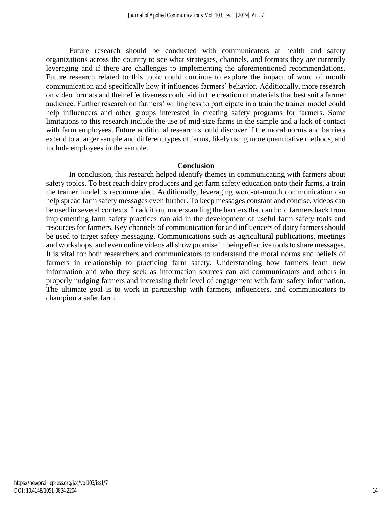Future research should be conducted with communicators at health and safety organizations across the country to see what strategies, channels, and formats they are currently leveraging and if there are challenges to implementing the aforementioned recommendations. Future research related to this topic could continue to explore the impact of word of mouth communication and specifically how it influences farmers' behavior. Additionally, more research on video formats and their effectiveness could aid in the creation of materials that best suit a farmer audience. Further research on farmers' willingness to participate in a train the trainer model could help influencers and other groups interested in creating safety programs for farmers. Some limitations to this research include the use of mid-size farms in the sample and a lack of contact with farm employees. Future additional research should discover if the moral norms and barriers extend to a larger sample and different types of farms, likely using more quantitative methods, and include employees in the sample.

#### **Conclusion**

In conclusion, this research helped identify themes in communicating with farmers about safety topics. To best reach dairy producers and get farm safety education onto their farms, a train the trainer model is recommended. Additionally, leveraging word-of-mouth communication can help spread farm safety messages even further. To keep messages constant and concise, videos can be used in several contexts. In addition, understanding the barriers that can hold farmers back from implementing farm safety practices can aid in the development of useful farm safety tools and resources for farmers. Key channels of communication for and influencers of dairy farmers should be used to target safety messaging. Communications such as agricultural publications, meetings and workshops, and even online videos all show promise in being effective tools to share messages. It is vital for both researchers and communicators to understand the moral norms and beliefs of farmers in relationship to practicing farm safety. Understanding how farmers learn new information and who they seek as information sources can aid communicators and others in properly nudging farmers and increasing their level of engagement with farm safety information. The ultimate goal is to work in partnership with farmers, influencers, and communicators to champion a safer farm.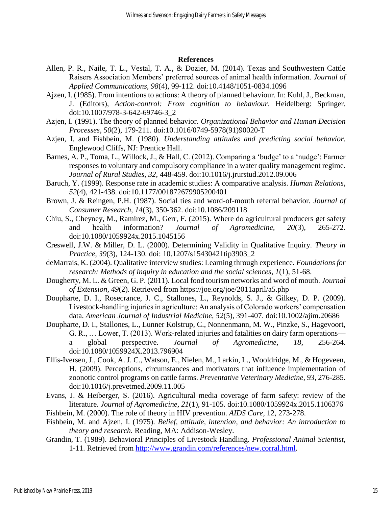#### **References**

- Allen, P. R., Naile, T. L., Vestal, T. A., & Dozier, M. (2014). Texas and Southwestern Cattle Raisers Association Members' preferred sources of animal health information. *Journal of Applied Communications, 98*(4), 99-112. doi:10.4148/1051-0834.1096
- Ajzen, I. (1985). From intentions to actions: A theory of planned behaviour. In: Kuhl, J., Beckman, J. (Editors), *Action-control: From cognition to behaviour*. Heidelberg: Springer. doi:10.1007/978-3-642-69746-3\_2
- Azjen, I. (1991). The theory of planned behavior. *Organizational Behavior and Human Decision Processes, 50*(2), 179-211. doi:10.1016/0749-5978(91)90020-T
- Azjen, I. and Fishbein, M. (1980). *Understanding attitudes and predicting social behavior.* Englewood Cliffs, NJ: Prentice Hall.
- Barnes, A. P., Toma, L., Willock, J., & Hall, C. (2012). Comparing a 'budge' to a 'nudge': Farmer responses to voluntary and compulsory compliance in a water quality management regime. *Journal of Rural Studies, 32*, 448-459. doi:10.1016/j.jrurstud.2012.09.006
- Baruch, Y. (1999). Response rate in academic studies: A comparative analysis. *Human Relations, 52*(4), 421-438. doi:10.1177/001872679905200401
- Brown, J. & Reingen, P.H. (1987). Social ties and word-of-mouth referral behavior. *Journal of Consumer Research, 14*(3), 350-362. doi:10.1086/209118
- Chiu, S., Cheyney, M., Ramirez, M., Gerr, F. (2015). Where do agricultural producers get safety and health information? *Journal of Agromedicine, 20*(3), 265-272. doi:10.1080/1059924x.2015.1045156
- Creswell, J.W. & Miller, D. L. (2000). Determining Validity in Qualitative Inquiry. *Theory in Practice, 39*(3), 124-130. doi: 10.1207/s15430421tip3903\_2
- deMarrais, K. (2004). Qualitative interview studies: Learning through experience. *Foundations for research: Methods of inquiry in education and the social sciences, 1*(1), 51-68.
- Dougherty, M. L. & Green, G. P. (2011). Local food tourism networks and word of mouth. *Journal of Extension, 49*(2). Retrieved from https://joe.org/joe/2011april/a5.php
- Doupharte, D. I., Rosecrance, J. C., Stallones, L., Reynolds, S. J., & Gilkey, D. P. (2009). Livestock-handling injuries in agriculture: An analysis of Colorado workers' compensation data. *American Journal of Industrial Medicine, 52*(5), 391-407. doi:10.1002/ajim.20686
- Doupharte, D. I., Stallones, L., Lunner Kolstrup, C., Nonnenmann, M. W., Pinzke, S., Hagevoort, G. R., … Lower, T. (2013). Work-related injuries and fatalities on dairy farm operations a global perspective. *Journal of Agromedicine, 18*, 256-264. doi:10.1080/1059924X.2013.796904
- Ellis-Iversen, J., Cook, A. J. C., Watson, E., Nielen, M., Larkin, L., Wooldridge, M., & Hogeveen, H. (2009). Perceptions, circumstances and motivators that influence implementation of zoonotic control programs on cattle farms. *Preventative Veterinary Medicine, 93*, 276-285. doi:10.1016/j.prevetmed.2009.11.005
- Evans, J. & Heiberger, S. (2016). Agricultural media coverage of farm safety: review of the literature. *Journal of Agromedicine, 21*(1), 91-105. doi:10.1080/1059924x.2015.1106376
- Fishbein, M. (2000). The role of theory in HIV prevention. *AIDS Care,* 12, 273-278.
- Fishbein, M. and Ajzen, I. (1975). *Belief, attitude, intention, and behavior: An introduction to theory and research.* Reading, MA: Addison-Wesley.
- Grandin, T. (1989). Behavioral Principles of Livestock Handling. *Professional Animal Scientist,*  1-11. Retrieved from [http://www.grandin.com/references/new.corral.html.](http://www.grandin.com/references/new.corral.html)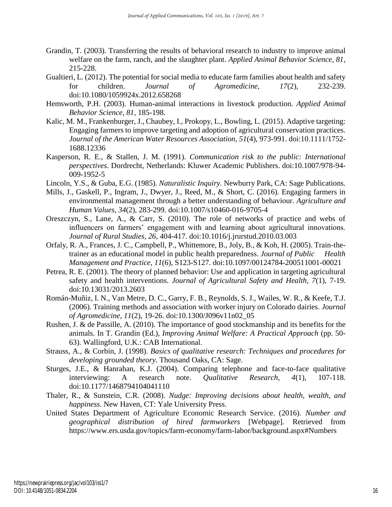- Grandin, T. (2003). Transferring the results of behavioral research to industry to improve animal welfare on the farm, ranch, and the slaughter plant. *Applied Animal Behavior Science, 81*, 215-228.
- Gualtieri, L. (2012). The potential for social media to educate farm families about health and safety for children. *Journal of Agromedicine, 17*(2), 232-239. doi:10.1080/1059924x.2012.658268
- Hemsworth, P.H. (2003). Human-animal interactions in livestock production. *Applied Animal Behavior Science, 81,* 185-198.
- Kalic, M. M., Frankenburger, J., Chaubey, I., Prokopy, L., Bowling, L. (2015). Adaptive targeting: Engaging farmers to improve targeting and adoption of agricultural conservation practices. *Journal of the American Water Resources Association, 51*(4), 973-991. doi:10.1111/1752- 1688.12336
- Kasperson, R. E., & Stallen, J. M. (1991). *Communication risk to the public: International perspectives.* Dordrecht, Netherlands: Kluwer Academic Publishers. doi:10.1007/978-94- 009-1952-5
- Lincoln, Y.S., & Guba, E.G. (1985). *Naturalistic Inquiry.* Newburry Park, CA: Sage Publications.
- Mills, J., Gaskell, P., Ingram, J., Dwyer, J., Reed, M., & Short, C. (2016). Engaging farmers in environmental management through a better understanding of behaviour. *Agriculture and Human Values, 34*(2), 283-299. doi:10.1007/s10460-016-9705-4
- Oreszczyn, S., Lane, A., & Carr, S. (2010). The role of networks of practice and webs of influencers on farmers' engagement with and learning about agricultural innovations. *Journal of Rural Studies, 26*, 404-417. doi:10.1016/j.jrurstud.2010.03.003
- Orfaly, R. A., Frances, J. C., Campbell, P., Whittemore, B., Joly, B., & Koh, H. (2005). Train-thetrainer as an educational model in public health preparedness. *Journal of Public Health Management and Practice, 11*(6), S123-S127. doi:10.1097/00124784-200511001-00021
- Petrea, R. E. (2001). The theory of planned behavior: Use and application in targeting agricultural safety and health interventions. *Journal of Agricultural Safety and Health, 7*(1), 7-19. doi:10.13031/2013.2603
- Román-Muñiz, I. N., Van Metre, D. C., Garry, F. B., Reynolds, S. J., Wailes, W. R., & Keefe, T.J. (2006). Training methods and association with worker injury on Colorado dairies. *Journal of Agromedicine, 11*(2), 19-26. doi:10.1300/J096v11n02\_05
- Rushen, J. & de Passille, A. (2010). The importance of good stockmanship and its benefits for the animals. In T. Grandin (Ed.), *Improving Animal Welfare: A Practical Approach* (pp. 50- 63). Wallingford, U.K.: CAB International.
- Strauss, A., & Corbin, J. (1998). *Basics of qualitative research: Techniques and procedures for developing grounded theory*. Thousand Oaks, CA: Sage.
- Sturges, J.E., & Hanrahan, K.J. (2004). Comparing telephone and face-to-face qualitative interviewing: A research note. *Qualitative Research, 4*(1), 107-118. doi:10.1177/1468794104041110
- Thaler, R., & Sunstein, C.R. (2008). *Nudge: Improving decisions about health, wealth, and happiness*. New Haven, CT: Yale University Press.
- United States Department of Agriculture Economic Research Service. (2016). *Number and geographical distribution of hired farmworkers* [Webpage]. Retrieved from https://www.ers.usda.gov/topics/farm-economy/farm-labor/background.aspx#Numbers